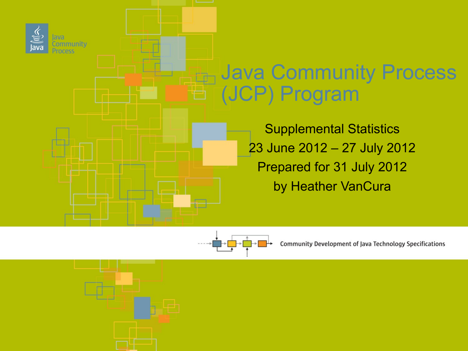



Community Development of Java Technology Specifications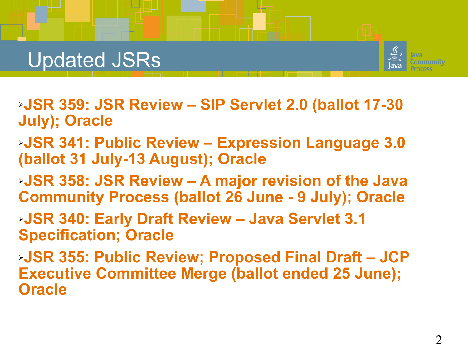## Updated JSRs



- ➢**JSR 359: JSR Review SIP Servlet 2.0 (ballot 17-30 July); Oracle**
- ➢**JSR 341: Public Review Expression Language 3.0 (ballot 31 July-13 August); Oracle**
- ➢**JSR 358: JSR Review A major revision of the Java Community Process (ballot 26 June - 9 July); Oracle**
- ➢**JSR 340: Early Draft Review Java Servlet 3.1 Specification; Oracle**
- ➢**JSR 355: Public Review; Proposed Final Draft JCP Executive Committee Merge (ballot ended 25 June); Oracle**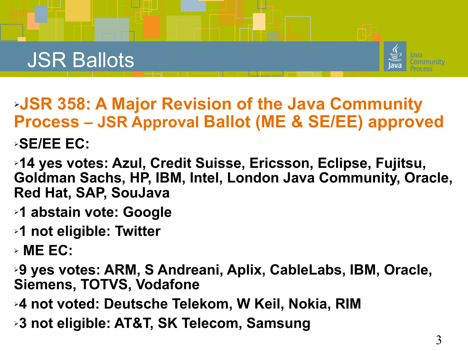## JSR Ballots



➢**JSR 358: A Major Revision of the Java Community Process – JSR Approval Ballot (ME & SE/EE) approved**

#### ➢**SE/EE EC:**

➢**14 yes votes: Azul, Credit Suisse, Ericsson, Eclipse, Fujitsu, Goldman Sachs, HP, IBM, Intel, London Java Community, Oracle, Red Hat, SAP, SouJava**

- ➢**1 abstain vote: Google**
- ➢**1 not eligible: Twitter**
- ➢ **ME EC:**

➢**9 yes votes: ARM, S Andreani, Aplix, CableLabs, IBM, Oracle, Siemens, TOTVS, Vodafone**

- ➢**4 not voted: Deutsche Telekom, W Keil, Nokia, RIM**
- ➢**3 not eligible: AT&T, SK Telecom, Samsung**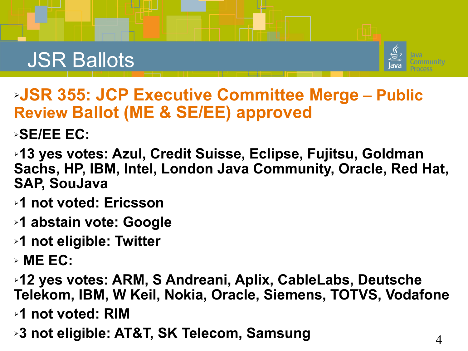## JSR Ballots



➢**JSR 355: JCP Executive Committee Merge – Public Review Ballot (ME & SE/EE) approved**

➢**SE/EE EC:**

- ➢**13 yes votes: Azul, Credit Suisse, Eclipse, Fujitsu, Goldman Sachs, HP, IBM, Intel, London Java Community, Oracle, Red Hat, SAP, SouJava**
- ➢**1 not voted: Ericsson**
- ➢**1 abstain vote: Google**
- ➢**1 not eligible: Twitter**
- ➢ **ME EC:**
- ➢**12 yes votes: ARM, S Andreani, Aplix, CableLabs, Deutsche Telekom, IBM, W Keil, Nokia, Oracle, Siemens, TOTVS, Vodafone**
- ➢**1 not voted: RIM**
- ➢**3 not eligible: AT&T, SK Telecom, Samsung**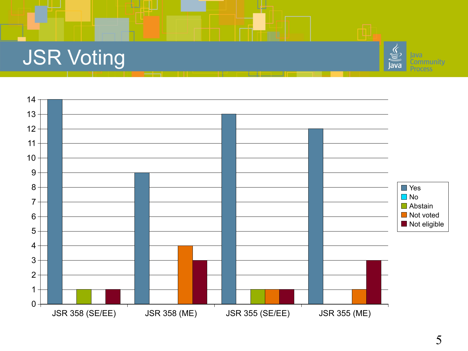# JSR Voting